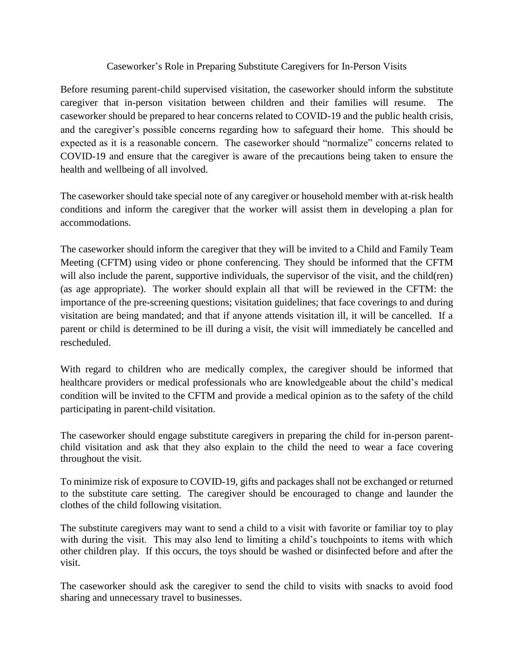## Caseworker's Role in Preparing Substitute Caregivers for In-Person Visits

Before resuming parent-child supervised visitation, the caseworker should inform the substitute caregiver that in-person visitation between children and their families will resume. The caseworker should be prepared to hear concerns related to COVID-19 and the public health crisis, and the caregiver's possible concerns regarding how to safeguard their home. This should be expected as it is a reasonable concern. The caseworker should "normalize" concerns related to COVID-19 and ensure that the caregiver is aware of the precautions being taken to ensure the health and wellbeing of all involved.

The caseworker should take special note of any caregiver or household member with at-risk health conditions and inform the caregiver that the worker will assist them in developing a plan for accommodations.

The caseworker should inform the caregiver that they will be invited to a Child and Family Team Meeting (CFTM) using video or phone conferencing. They should be informed that the CFTM will also include the parent, supportive individuals, the supervisor of the visit, and the child(ren) (as age appropriate). The worker should explain all that will be reviewed in the CFTM: the importance of the pre-screening questions; visitation guidelines; that face coverings to and during visitation are being mandated; and that if anyone attends visitation ill, it will be cancelled. If a parent or child is determined to be ill during a visit, the visit will immediately be cancelled and rescheduled.

With regard to children who are medically complex, the caregiver should be informed that healthcare providers or medical professionals who are knowledgeable about the child's medical condition will be invited to the CFTM and provide a medical opinion as to the safety of the child participating in parent-child visitation.

The caseworker should engage substitute caregivers in preparing the child for in-person parentchild visitation and ask that they also explain to the child the need to wear a face covering throughout the visit.

To minimize risk of exposure to COVID-19, gifts and packages shall not be exchanged or returned to the substitute care setting. The caregiver should be encouraged to change and launder the clothes of the child following visitation.

The substitute caregivers may want to send a child to a visit with favorite or familiar toy to play with during the visit. This may also lend to limiting a child's touchpoints to items with which other children play. If this occurs, the toys should be washed or disinfected before and after the visit.

The caseworker should ask the caregiver to send the child to visits with snacks to avoid food sharing and unnecessary travel to businesses.